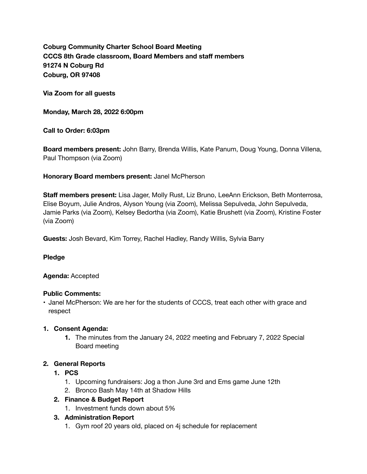**Coburg Community Charter School Board Meeting CCCS 8th Grade classroom, Board Members and staff members 91274 N Coburg Rd Coburg, OR 97408** 

**Via Zoom for all guests** 

**Monday, March 28, 2022 6:00pm** 

**Call to Order: 6:03pm** 

**Board members present:** John Barry, Brenda Willis, Kate Panum, Doug Young, Donna Villena, Paul Thompson (via Zoom)

### **Honorary Board members present:** Janel McPherson

**Staff members present:** Lisa Jager, Molly Rust, Liz Bruno, LeeAnn Erickson, Beth Monterrosa, Elise Boyum, Julie Andros, Alyson Young (via Zoom), Melissa Sepulveda, John Sepulveda, Jamie Parks (via Zoom), Kelsey Bedortha (via Zoom), Katie Brushett (via Zoom), Kristine Foster (via Zoom)

**Guests:** Josh Bevard, Kim Torrey, Rachel Hadley, Randy Willis, Sylvia Barry

**Pledge** 

### **Agenda:** Accepted

### **Public Comments:**

• Janel McPherson: We are her for the students of CCCS, treat each other with grace and respect

### **1. Consent Agenda:**

**1.** The minutes from the January 24, 2022 meeting and February 7, 2022 Special Board meeting

### **2. General Reports**

- **1. PCS** 
	- 1. Upcoming fundraisers: Jog a thon June 3rd and Ems game June 12th
	- 2. Bronco Bash May 14th at Shadow Hills

### **2. Finance & Budget Report**

1. Investment funds down about 5%

## **3. Administration Report**

1. Gym roof 20 years old, placed on 4j schedule for replacement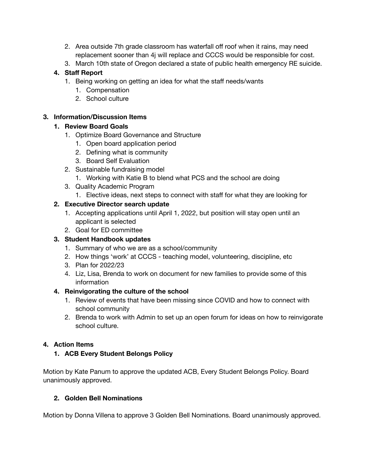- 2. Area outside 7th grade classroom has waterfall off roof when it rains, may need replacement sooner than 4j will replace and CCCS would be responsible for cost.
- 3. March 10th state of Oregon declared a state of public health emergency RE suicide.

# **4. Staff Report**

- 1. Being working on getting an idea for what the staff needs/wants
	- 1. Compensation
	- 2. School culture

# **3. Information/Discussion Items**

# **1. Review Board Goals**

- 1. Optimize Board Governance and Structure
	- 1. Open board application period
	- 2. Defining what is community
	- 3. Board Self Evaluation
- 2. Sustainable fundraising model
	- 1. Working with Katie B to blend what PCS and the school are doing
- 3. Quality Academic Program
	- 1. Elective ideas, next steps to connect with staff for what they are looking for

# **2. Executive Director search update**

- 1. Accepting applications until April 1, 2022, but position will stay open until an applicant is selected
- 2. Goal for ED committee

# **3. Student Handbook updates**

- 1. Summary of who we are as a school/community
- 2. How things 'work' at CCCS teaching model, volunteering, discipline, etc
- 3. Plan for 2022/23
- 4. Liz, Lisa, Brenda to work on document for new families to provide some of this information

## **4. Reinvigorating the culture of the school**

- 1. Review of events that have been missing since COVID and how to connect with school community
- 2. Brenda to work with Admin to set up an open forum for ideas on how to reinvigorate school culture.

# **4. Action Items**

**1. ACB Every Student Belongs Policy** 

Motion by Kate Panum to approve the updated ACB, Every Student Belongs Policy. Board unanimously approved.

## **2. Golden Bell Nominations**

Motion by Donna Villena to approve 3 Golden Bell Nominations. Board unanimously approved.